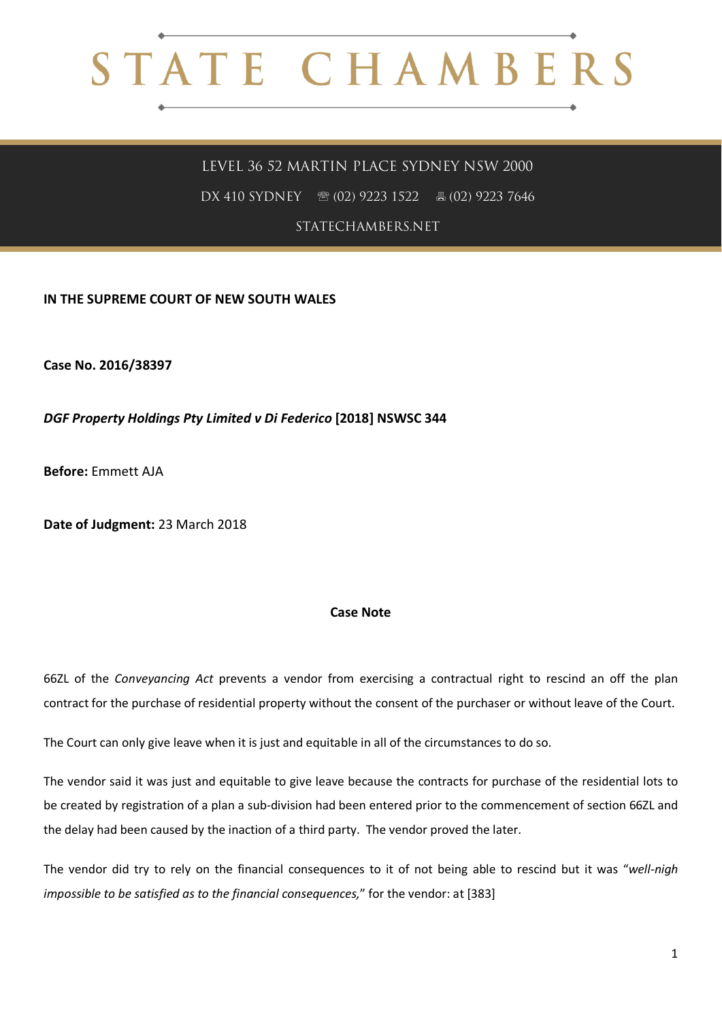## STATE CHAMBERS

## LEVEL 36 52 MARTIN PLACE SYDNEY NSW 2000

DX 410 SYDNEY ® (02) 9223 1522 圖 (02) 9223 7646

STATECHAMBERS.NET

**IN THE SUPREME COURT OF NEW SOUTH WALES**

**Case No. 2016/38397**

*DGF Property Holdings Pty Limited v Di Federico* **[2018] NSWSC 344**

**Before:** Emmett AJA

**Date of Judgment:** 23 March 2018

## **Case Note**

66ZL of the *Conveyancing Act* prevents a vendor from exercising a contractual right to rescind an off the plan contract for the purchase of residential property without the consent of the purchaser or without leave of the Court.

The Court can only give leave when it is just and equitable in all of the circumstances to do so.

The vendor said it was just and equitable to give leave because the contracts for purchase of the residential lots to be created by registration of a plan a sub-division had been entered prior to the commencement of section 66ZL and the delay had been caused by the inaction of a third party. The vendor proved the later.

The vendor did try to rely on the financial consequences to it of not being able to rescind but it was "*well-nigh impossible to be satisfied as to the financial consequences,*" for the vendor: at [383]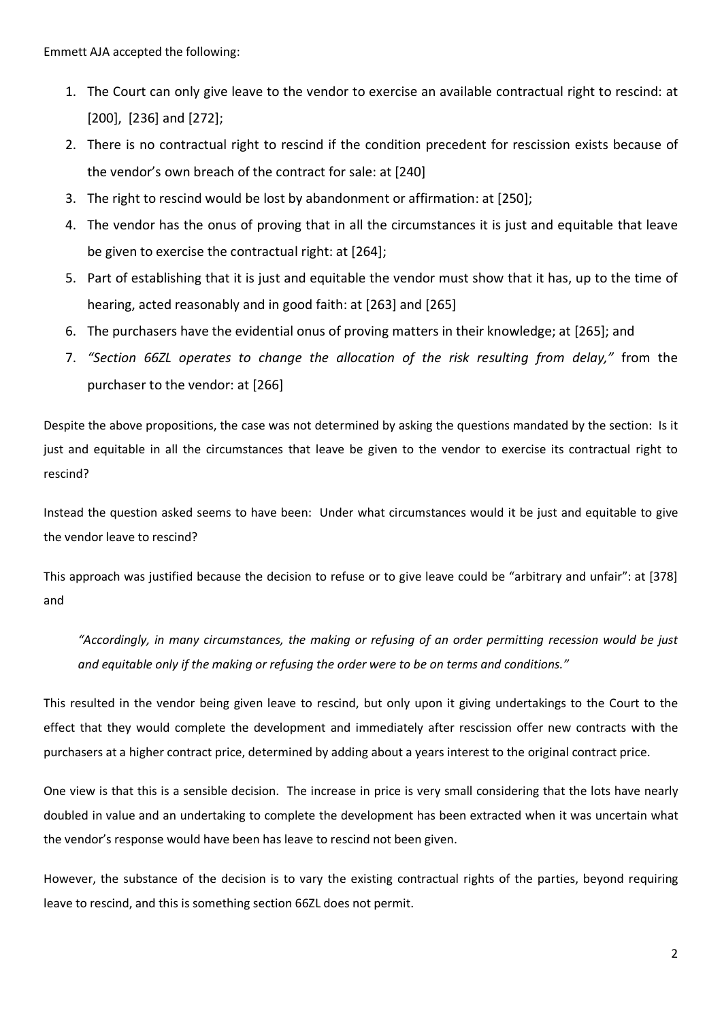Emmett AJA accepted the following:

- 1. The Court can only give leave to the vendor to exercise an available contractual right to rescind: at [200], [236] and [272];
- 2. There is no contractual right to rescind if the condition precedent for rescission exists because of the vendor's own breach of the contract for sale: at [240]
- 3. The right to rescind would be lost by abandonment or affirmation: at [250];
- 4. The vendor has the onus of proving that in all the circumstances it is just and equitable that leave be given to exercise the contractual right: at [264];
- 5. Part of establishing that it is just and equitable the vendor must show that it has, up to the time of hearing, acted reasonably and in good faith: at [263] and [265]
- 6. The purchasers have the evidential onus of proving matters in their knowledge; at [265]; and
- 7. *"Section 66ZL operates to change the allocation of the risk resulting from delay,"* from the purchaser to the vendor: at [266]

Despite the above propositions, the case was not determined by asking the questions mandated by the section: Is it just and equitable in all the circumstances that leave be given to the vendor to exercise its contractual right to rescind?

Instead the question asked seems to have been: Under what circumstances would it be just and equitable to give the vendor leave to rescind?

This approach was justified because the decision to refuse or to give leave could be "arbitrary and unfair": at [378] and

*"Accordingly, in many circumstances, the making or refusing of an order permitting recession would be just and equitable only if the making or refusing the order were to be on terms and conditions."*

This resulted in the vendor being given leave to rescind, but only upon it giving undertakings to the Court to the effect that they would complete the development and immediately after rescission offer new contracts with the purchasers at a higher contract price, determined by adding about a years interest to the original contract price.

One view is that this is a sensible decision. The increase in price is very small considering that the lots have nearly doubled in value and an undertaking to complete the development has been extracted when it was uncertain what the vendor's response would have been has leave to rescind not been given.

However, the substance of the decision is to vary the existing contractual rights of the parties, beyond requiring leave to rescind, and this is something section 66ZL does not permit.